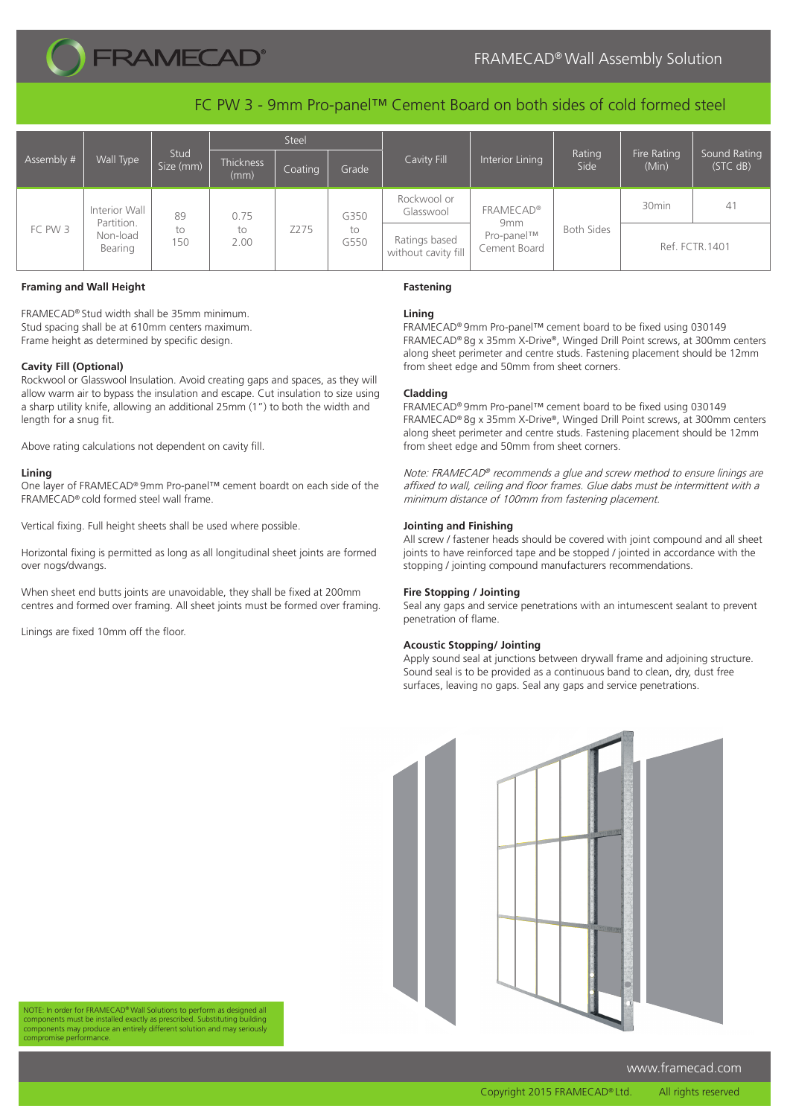

# FRAMECAD® Wall Assembly Solution

FC PW 3 - 9mm Pro-panel™ Cement Board on both sides of cold formed steel

| Assembly # | Wall Type                                          | Stud<br>Size (mm) | Steel              |         |                    |                                      |                                               |                   |                      |                          |
|------------|----------------------------------------------------|-------------------|--------------------|---------|--------------------|--------------------------------------|-----------------------------------------------|-------------------|----------------------|--------------------------|
|            |                                                    |                   | Thickness<br>(mm)  | Coating | Grade              | Cavity Fill                          | Interior Lining                               | Rating<br>Side    | Fire Rating<br>(Min) | Sound Rating<br>(STC dB) |
| FC PW 3    | Interior Wall<br>Partition.<br>Non-load<br>Bearing | 89<br>to<br>150   | 0.75<br>to<br>2.00 | Z275    | G350<br>to<br>G550 | Rockwool or<br>Glasswool             | <b>FRAMECAD®</b>                              | <b>Both Sides</b> | 30 <sub>min</sub>    | 41                       |
|            |                                                    |                   |                    |         |                    | Ratings based<br>without cavity fill | 9 <sub>mm</sub><br>Pro-panel™<br>Cement Board |                   | Ref. FCTR. 1401      |                          |

# **Framing and Wall Height**

FRAMECAD® Stud width shall be 35mm minimum. Stud spacing shall be at 610mm centers maximum. Frame height as determined by specific design.

# **Cavity Fill (Optional)**

Rockwool or Glasswool Insulation. Avoid creating gaps and spaces, as they will allow warm air to bypass the insulation and escape. Cut insulation to size using a sharp utility knife, allowing an additional 25mm (1") to both the width and length for a snug fit.

Above rating calculations not dependent on cavity fill.

# **Lining**

One layer of FRAMECAD® 9mm Pro-panel™ cement boardt on each side of the FRAMECAD® cold formed steel wall frame.

Vertical fixing. Full height sheets shall be used where possible.

Horizontal fixing is permitted as long as all longitudinal sheet joints are formed over nogs/dwangs.

When sheet end butts joints are unavoidable, they shall be fixed at 200mm centres and formed over framing. All sheet joints must be formed over framing.

Linings are fixed 10mm off the floor.

# **Fastening**

# **Lining**

FRAMECAD® 9mm Pro-panel™ cement board to be fixed using 030149 FRAMECAD® 8g x 35mm X-Drive®, Winged Drill Point screws, at 300mm centers along sheet perimeter and centre studs. Fastening placement should be 12mm from sheet edge and 50mm from sheet corners.

### **Cladding**

FRAMECAD® 9mm Pro-panel™ cement board to be fixed using 030149 FRAMECAD® 8g x 35mm X-Drive®, Winged Drill Point screws, at 300mm centers along sheet perimeter and centre studs. Fastening placement should be 12mm from sheet edge and 50mm from sheet corners.

Note: FRAMECAD® recommends a glue and screw method to ensure linings are affixed to wall, ceiling and floor frames. Glue dabs must be intermittent with a minimum distance of 100mm from fastening placement.

#### **Jointing and Finishing**

All screw / fastener heads should be covered with joint compound and all sheet joints to have reinforced tape and be stopped / jointed in accordance with the stopping / jointing compound manufacturers recommendations.

## **Fire Stopping / Jointing**

Seal any gaps and service penetrations with an intumescent sealant to prevent penetration of flame.

# **Acoustic Stopping/ Jointing**

Apply sound seal at junctions between drywall frame and adjoining structure. Sound seal is to be provided as a continuous band to clean, dry, dust free surfaces, leaving no gaps. Seal any gaps and service penetrations.



NOTE: In order for FRAMECAD® Wall Solutions to perform as designed all components must be installed exactly as prescribed. Substituting building components may produce an entirely different solution and may seriously compromise performance.

www.framecad.com